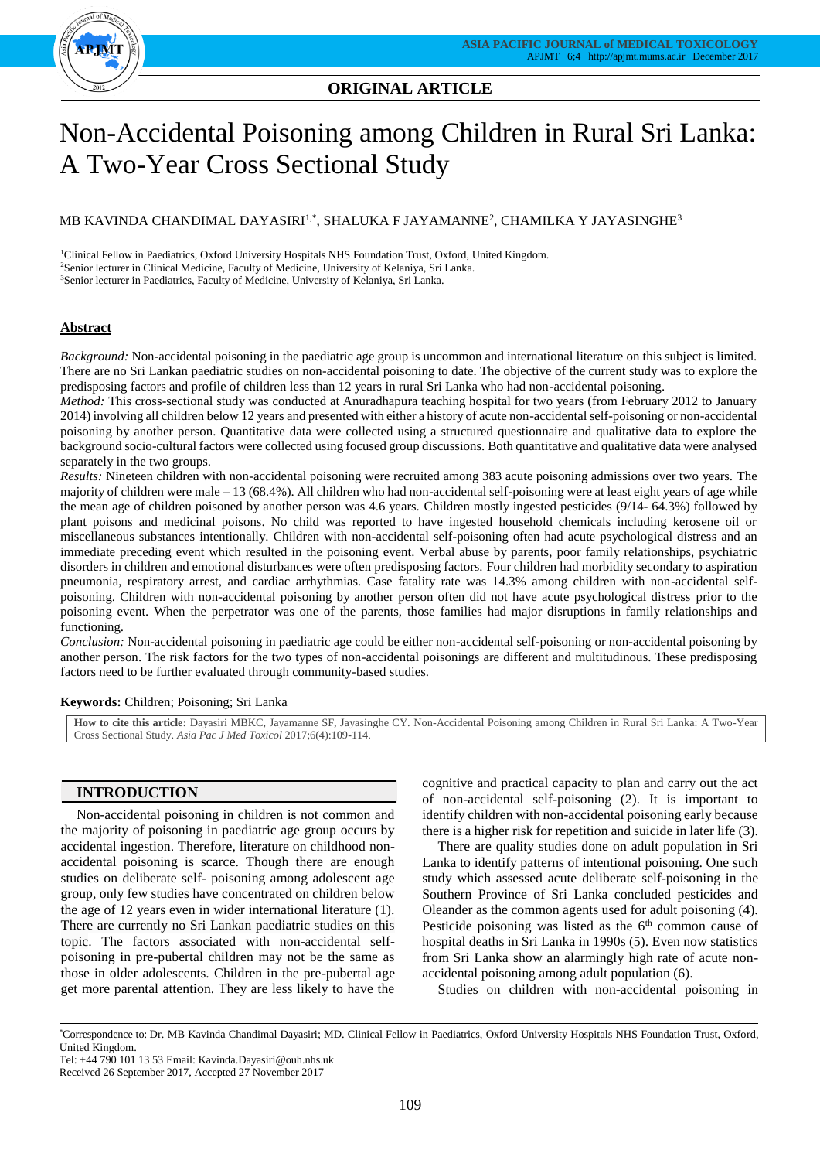

# **ORIGINAL ARTICLE**

# Non-Accidental Poisoning among Children in Rural Sri Lanka: A Two-Year Cross Sectional Study

## MB KAVINDA CHANDIMAL DAYASIRI $^{1,\ast},$  SHALUKA F JAYAMANNE $^2$ , CHAMILKA Y JAYASINGHE $^3$

<sup>1</sup>Clinical Fellow in Paediatrics, Oxford University Hospitals NHS Foundation Trust, Oxford, United Kingdom. <sup>2</sup>Senior lecturer in Clinical Medicine, Faculty of Medicine, University of Kelaniya, Sri Lanka. <sup>3</sup>Senior lecturer in Paediatrics, Faculty of Medicine, University of Kelaniya, Sri Lanka.

## **Abstract**

*Background:* Non-accidental poisoning in the paediatric age group is uncommon and international literature on this subject is limited. There are no Sri Lankan paediatric studies on non-accidental poisoning to date. The objective of the current study was to explore the predisposing factors and profile of children less than 12 years in rural Sri Lanka who had non-accidental poisoning.

*Method:* This cross-sectional study was conducted at Anuradhapura teaching hospital for two years (from February 2012 to January 2014) involving all children below 12 years and presented with either a history of acute non-accidental self-poisoning or non-accidental poisoning by another person. Quantitative data were collected using a structured questionnaire and qualitative data to explore the background socio-cultural factors were collected using focused group discussions. Both quantitative and qualitative data were analysed separately in the two groups.

*Results:* Nineteen children with non-accidental poisoning were recruited among 383 acute poisoning admissions over two years. The majority of children were male – 13 (68.4%). All children who had non-accidental self-poisoning were at least eight years of age while the mean age of children poisoned by another person was 4.6 years. Children mostly ingested pesticides (9/14- 64.3%) followed by plant poisons and medicinal poisons. No child was reported to have ingested household chemicals including kerosene oil or miscellaneous substances intentionally. Children with non-accidental self-poisoning often had acute psychological distress and an immediate preceding event which resulted in the poisoning event. Verbal abuse by parents, poor family relationships, psychiatric disorders in children and emotional disturbances were often predisposing factors. Four children had morbidity secondary to aspiration pneumonia, respiratory arrest, and cardiac arrhythmias. Case fatality rate was 14.3% among children with non-accidental selfpoisoning. Children with non-accidental poisoning by another person often did not have acute psychological distress prior to the poisoning event. When the perpetrator was one of the parents, those families had major disruptions in family relationships and functioning.

*Conclusion:* Non-accidental poisoning in paediatric age could be either non-accidental self-poisoning or non-accidental poisoning by another person. The risk factors for the two types of non-accidental poisonings are different and multitudinous. These predisposing factors need to be further evaluated through community-based studies.

**Keywords:** Children; Poisoning; Sri Lanka

**How to cite this article:** Dayasiri MBKC, Jayamanne SF, Jayasinghe CY. Non-Accidental Poisoning among Children in Rural Sri Lanka: A Two-Year Cross Sectional Study. *Asia Pac J Med Toxicol* 2017;6(4):109-114.

## **INTRODUCTION**

Non-accidental poisoning in children is not common and the majority of poisoning in paediatric age group occurs by accidental ingestion. Therefore, literature on childhood nonaccidental poisoning is scarce. Though there are enough studies on deliberate self- poisoning among adolescent age group, only few studies have concentrated on children below the age of 12 years even in wider international literature (1). There are currently no Sri Lankan paediatric studies on this topic. The factors associated with non-accidental selfpoisoning in pre-pubertal children may not be the same as those in older adolescents. Children in the pre-pubertal age get more parental attention. They are less likely to have the cognitive and practical capacity to plan and carry out the act of non-accidental self-poisoning (2). It is important to identify children with non-accidental poisoning early because there is a higher risk for repetition and suicide in later life (3).

There are quality studies done on adult population in Sri Lanka to identify patterns of intentional poisoning. One such study which assessed acute deliberate self-poisoning in the Southern Province of Sri Lanka concluded pesticides and Oleander as the common agents used for adult poisoning (4). Pesticide poisoning was listed as the 6<sup>th</sup> common cause of hospital deaths in Sri Lanka in 1990s (5). Even now statistics from Sri Lanka show an alarmingly high rate of acute nonaccidental poisoning among adult population (6).

Studies on children with non-accidental poisoning in

<sup>\*</sup>Correspondence to: Dr. MB Kavinda Chandimal Dayasiri; MD. Clinical Fellow in Paediatrics, Oxford University Hospitals NHS Foundation Trust, Oxford, United Kingdom.

Tel: +44 790 101 13 53 Email: Kavinda.Dayasiri@ouh.nhs.uk

Received 26 September 2017, Accepted 27 November 2017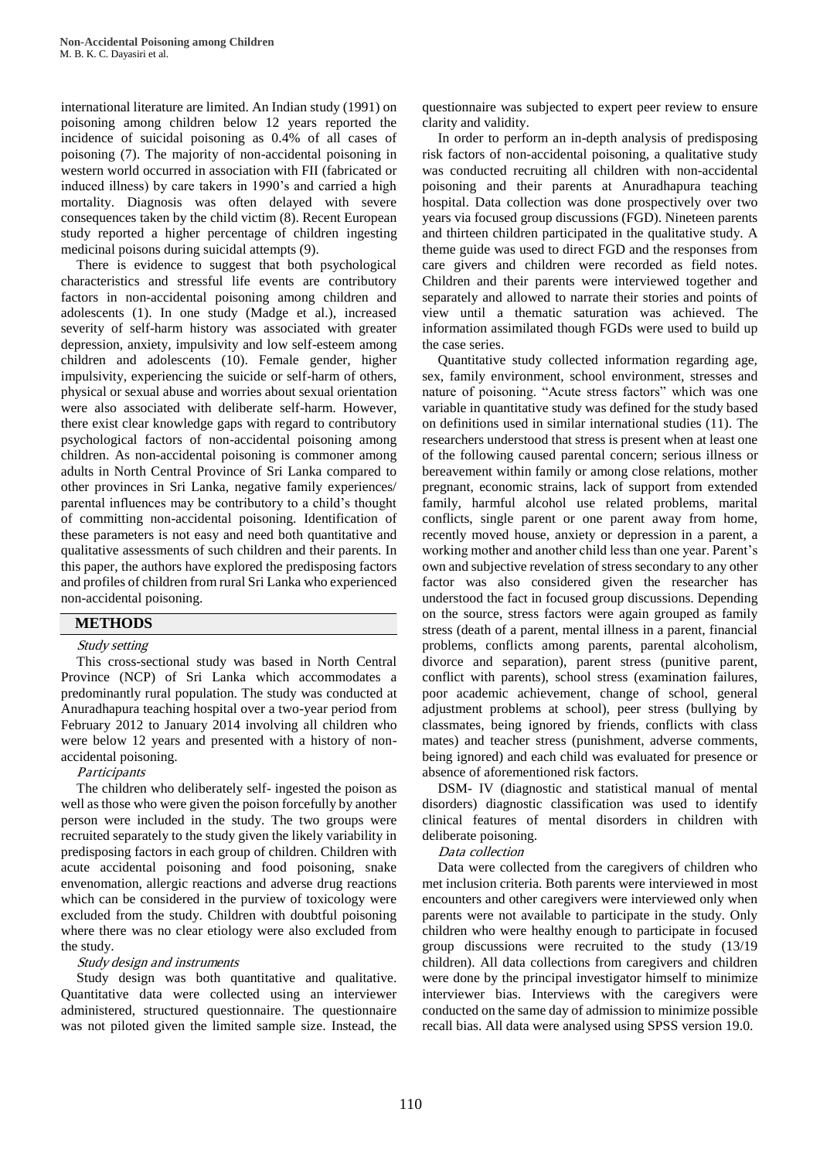international literature are limited. An Indian study (1991) on poisoning among children below 12 years reported the incidence of suicidal poisoning as 0.4% of all cases of poisoning (7). The majority of non-accidental poisoning in western world occurred in association with FII (fabricated or induced illness) by care takers in 1990's and carried a high mortality. Diagnosis was often delayed with severe consequences taken by the child victim (8). Recent European study reported a higher percentage of children ingesting medicinal poisons during suicidal attempts (9).

There is evidence to suggest that both psychological characteristics and stressful life events are contributory factors in non-accidental poisoning among children and adolescents (1). In one study (Madge et al.), increased severity of self-harm history was associated with greater depression, anxiety, impulsivity and low self-esteem among children and adolescents (10). Female gender, higher impulsivity, experiencing the suicide or self-harm of others, physical or sexual abuse and worries about sexual orientation were also associated with deliberate self-harm. However, there exist clear knowledge gaps with regard to contributory psychological factors of non-accidental poisoning among children. As non-accidental poisoning is commoner among adults in North Central Province of Sri Lanka compared to other provinces in Sri Lanka, negative family experiences/ parental influences may be contributory to a child's thought of committing non-accidental poisoning. Identification of these parameters is not easy and need both quantitative and qualitative assessments of such children and their parents. In this paper, the authors have explored the predisposing factors and profiles of children from rural Sri Lanka who experienced non-accidental poisoning.

### **METHODS**

### Study setting

This cross-sectional study was based in North Central Province (NCP) of Sri Lanka which accommodates a predominantly rural population. The study was conducted at Anuradhapura teaching hospital over a two-year period from February 2012 to January 2014 involving all children who were below 12 years and presented with a history of nonaccidental poisoning.

### **Participants**

The children who deliberately self- ingested the poison as well as those who were given the poison forcefully by another person were included in the study. The two groups were recruited separately to the study given the likely variability in predisposing factors in each group of children. Children with acute accidental poisoning and food poisoning, snake envenomation, allergic reactions and adverse drug reactions which can be considered in the purview of toxicology were excluded from the study. Children with doubtful poisoning where there was no clear etiology were also excluded from the study.

#### Study design and instruments

Study design was both quantitative and qualitative. Quantitative data were collected using an interviewer administered, structured questionnaire. The questionnaire was not piloted given the limited sample size. Instead, the

questionnaire was subjected to expert peer review to ensure clarity and validity.

In order to perform an in-depth analysis of predisposing risk factors of non-accidental poisoning, a qualitative study was conducted recruiting all children with non-accidental poisoning and their parents at Anuradhapura teaching hospital. Data collection was done prospectively over two years via focused group discussions (FGD). Nineteen parents and thirteen children participated in the qualitative study. A theme guide was used to direct FGD and the responses from care givers and children were recorded as field notes. Children and their parents were interviewed together and separately and allowed to narrate their stories and points of view until a thematic saturation was achieved. The information assimilated though FGDs were used to build up the case series.

Quantitative study collected information regarding age, sex, family environment, school environment, stresses and nature of poisoning. "Acute stress factors" which was one variable in quantitative study was defined for the study based on definitions used in similar international studies (11). The researchers understood that stress is present when at least one of the following caused parental concern; serious illness or bereavement within family or among close relations, mother pregnant, economic strains, lack of support from extended family, harmful alcohol use related problems, marital conflicts, single parent or one parent away from home, recently moved house, anxiety or depression in a parent, a working mother and another child less than one year. Parent's own and subjective revelation of stress secondary to any other factor was also considered given the researcher has understood the fact in focused group discussions. Depending on the source, stress factors were again grouped as family stress (death of a parent, mental illness in a parent, financial problems, conflicts among parents, parental alcoholism, divorce and separation), parent stress (punitive parent, conflict with parents), school stress (examination failures, poor academic achievement, change of school, general adjustment problems at school), peer stress (bullying by classmates, being ignored by friends, conflicts with class mates) and teacher stress (punishment, adverse comments, being ignored) and each child was evaluated for presence or absence of aforementioned risk factors.

DSM- IV (diagnostic and statistical manual of mental disorders) diagnostic classification was used to identify clinical features of mental disorders in children with deliberate poisoning.

### Data collection

Data were collected from the caregivers of children who met inclusion criteria. Both parents were interviewed in most encounters and other caregivers were interviewed only when parents were not available to participate in the study. Only children who were healthy enough to participate in focused group discussions were recruited to the study (13/19 children). All data collections from caregivers and children were done by the principal investigator himself to minimize interviewer bias. Interviews with the caregivers were conducted on the same day of admission to minimize possible recall bias. All data were analysed using SPSS version 19.0.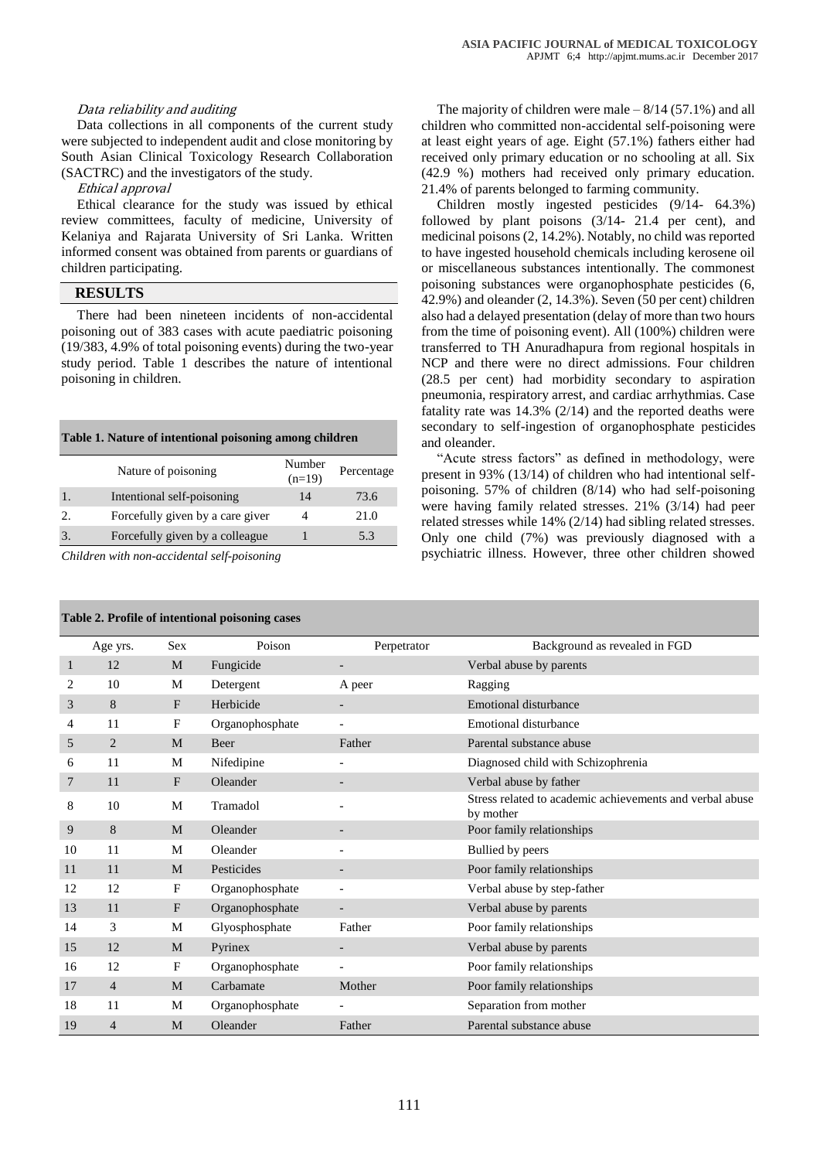### Data reliability and auditing

Data collections in all components of the current study were subjected to independent audit and close monitoring by South Asian Clinical Toxicology Research Collaboration (SACTRC) and the investigators of the study.

Ethical approval

Ethical clearance for the study was issued by ethical review committees, faculty of medicine, University of Kelaniya and Rajarata University of Sri Lanka. Written informed consent was obtained from parents or guardians of children participating.

## **RESULTS**

There had been nineteen incidents of non-accidental poisoning out of 383 cases with acute paediatric poisoning (19/383, 4.9% of total poisoning events) during the two-year study period. Table 1 describes the nature of intentional poisoning in children.

#### **Table 1. Nature of intentional poisoning among children**

| Nature of poisoning              | Number<br>$(n=19)$ | Percentage |
|----------------------------------|--------------------|------------|
| Intentional self-poisoning       | 14                 | 73.6       |
| Forcefully given by a care giver |                    | 21.0       |
| Forcefully given by a colleague  |                    | 5.3        |

*Children with non-accidental self-poisoning*

### **Table 2. Profile of intentional poisoning cases**

The majority of children were male  $-8/14$  (57.1%) and all children who committed non-accidental self-poisoning were at least eight years of age. Eight (57.1%) fathers either had received only primary education or no schooling at all. Six (42.9 %) mothers had received only primary education. 21.4% of parents belonged to farming community.

Children mostly ingested pesticides (9/14- 64.3%) followed by plant poisons (3/14- 21.4 per cent), and medicinal poisons (2, 14.2%). Notably, no child was reported to have ingested household chemicals including kerosene oil or miscellaneous substances intentionally. The commonest poisoning substances were organophosphate pesticides (6, 42.9%) and oleander (2, 14.3%). Seven (50 per cent) children also had a delayed presentation (delay of more than two hours from the time of poisoning event). All (100%) children were transferred to TH Anuradhapura from regional hospitals in NCP and there were no direct admissions. Four children (28.5 per cent) had morbidity secondary to aspiration pneumonia, respiratory arrest, and cardiac arrhythmias. Case fatality rate was 14.3% (2/14) and the reported deaths were secondary to self-ingestion of organophosphate pesticides and oleander.

"Acute stress factors" as defined in methodology, were present in 93% (13/14) of children who had intentional selfpoisoning. 57% of children (8/14) who had self-poisoning were having family related stresses. 21% (3/14) had peer related stresses while 14% (2/14) had sibling related stresses. Only one child (7%) was previously diagnosed with a psychiatric illness. However, three other children showed

|    | Age yrs.       | <b>Sex</b>   | Poison          | Perpetrator              | Background as revealed in FGD                                         |
|----|----------------|--------------|-----------------|--------------------------|-----------------------------------------------------------------------|
| 1  | 12             | M            | Fungicide       | -                        | Verbal abuse by parents                                               |
| 2  | 10             | M            | Detergent       | A peer                   | Ragging                                                               |
| 3  | 8              | F            | Herbicide       | $\overline{\phantom{a}}$ | <b>Emotional disturbance</b>                                          |
| 4  | 11             | F            | Organophosphate |                          | <b>Emotional disturbance</b>                                          |
| 5  | 2              | M            | <b>Beer</b>     | Father                   | Parental substance abuse                                              |
| 6  | 11             | M            | Nifedipine      | $\overline{\phantom{a}}$ | Diagnosed child with Schizophrenia                                    |
| 7  | 11             | $\mathbf{F}$ | Oleander        | -                        | Verbal abuse by father                                                |
| 8  | 10             | M            | Tramadol        | $\overline{\phantom{0}}$ | Stress related to academic achievements and verbal abuse<br>by mother |
| 9  | 8              | M            | Oleander        |                          | Poor family relationships                                             |
| 10 | 11             | M            | Oleander        | $\overline{\phantom{a}}$ | Bullied by peers                                                      |
| 11 | 11             | M            | Pesticides      | $\overline{\phantom{a}}$ | Poor family relationships                                             |
| 12 | 12             | F            | Organophosphate | $\overline{\phantom{0}}$ | Verbal abuse by step-father                                           |
| 13 | 11             | F            | Organophosphate | $\overline{\phantom{a}}$ | Verbal abuse by parents                                               |
| 14 | 3              | M            | Glyosphosphate  | Father                   | Poor family relationships                                             |
| 15 | 12             | M            | Pyrinex         | $\overline{\phantom{a}}$ | Verbal abuse by parents                                               |
| 16 | 12             | F            | Organophosphate | $\overline{\phantom{a}}$ | Poor family relationships                                             |
| 17 | $\overline{4}$ | M            | Carbamate       | Mother                   | Poor family relationships                                             |
| 18 | 11             | M            | Organophosphate | $\overline{\phantom{a}}$ | Separation from mother                                                |
| 19 | $\overline{4}$ | M            | Oleander        | Father                   | Parental substance abuse                                              |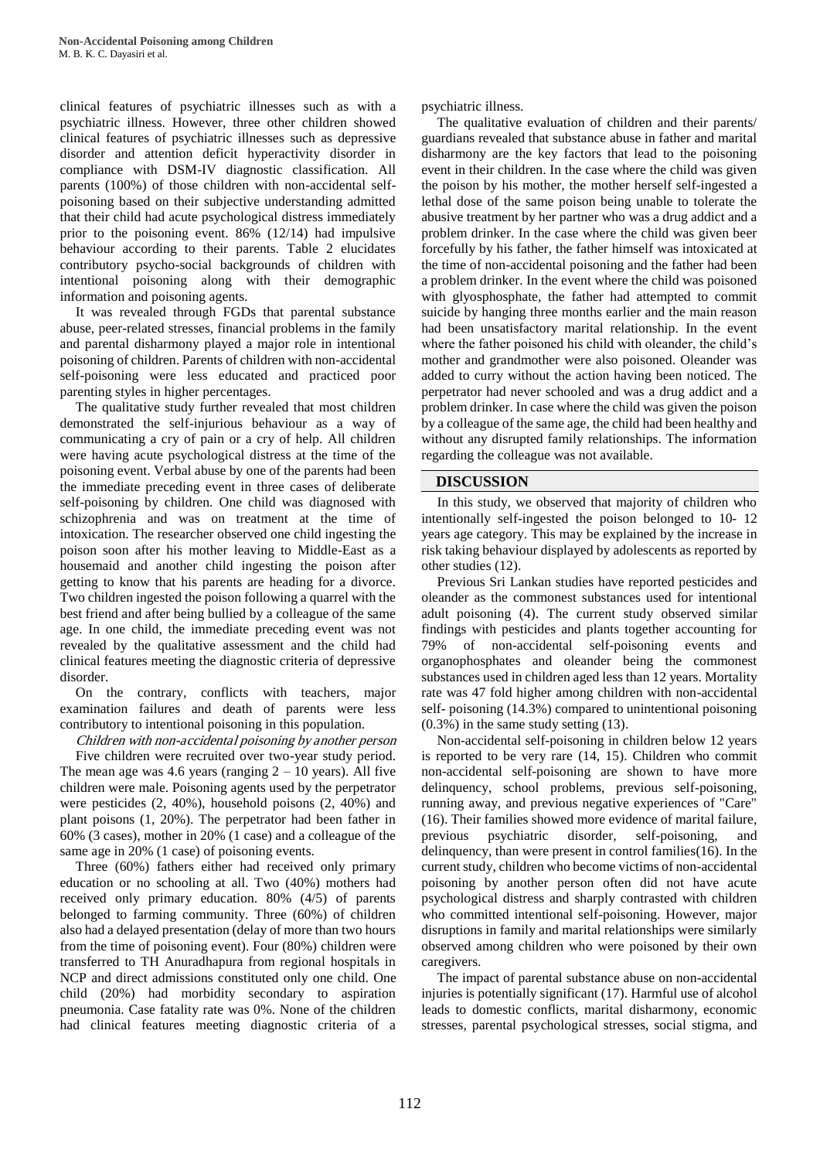clinical features of psychiatric illnesses such as with a psychiatric illness. However, three other children showed clinical features of psychiatric illnesses such as depressive disorder and attention deficit hyperactivity disorder in compliance with DSM-IV diagnostic classification. All parents (100%) of those children with non-accidental selfpoisoning based on their subjective understanding admitted that their child had acute psychological distress immediately prior to the poisoning event. 86% (12/14) had impulsive behaviour according to their parents. Table 2 elucidates contributory psycho-social backgrounds of children with intentional poisoning along with their demographic information and poisoning agents.

It was revealed through FGDs that parental substance abuse, peer-related stresses, financial problems in the family and parental disharmony played a major role in intentional poisoning of children. Parents of children with non-accidental self-poisoning were less educated and practiced poor parenting styles in higher percentages.

The qualitative study further revealed that most children demonstrated the self-injurious behaviour as a way of communicating a cry of pain or a cry of help. All children were having acute psychological distress at the time of the poisoning event. Verbal abuse by one of the parents had been the immediate preceding event in three cases of deliberate self-poisoning by children. One child was diagnosed with schizophrenia and was on treatment at the time of intoxication. The researcher observed one child ingesting the poison soon after his mother leaving to Middle-East as a housemaid and another child ingesting the poison after getting to know that his parents are heading for a divorce. Two children ingested the poison following a quarrel with the best friend and after being bullied by a colleague of the same age. In one child, the immediate preceding event was not revealed by the qualitative assessment and the child had clinical features meeting the diagnostic criteria of depressive disorder.

On the contrary, conflicts with teachers, major examination failures and death of parents were less contributory to intentional poisoning in this population.

Children with non-accidental poisoning by another person Five children were recruited over two-year study period. The mean age was 4.6 years (ranging  $2 - 10$  years). All five children were male. Poisoning agents used by the perpetrator were pesticides (2, 40%), household poisons (2, 40%) and plant poisons (1, 20%). The perpetrator had been father in 60% (3 cases), mother in 20% (1 case) and a colleague of the same age in 20% (1 case) of poisoning events.

Three (60%) fathers either had received only primary education or no schooling at all. Two (40%) mothers had received only primary education. 80% (4/5) of parents belonged to farming community. Three (60%) of children also had a delayed presentation (delay of more than two hours from the time of poisoning event). Four (80%) children were transferred to TH Anuradhapura from regional hospitals in NCP and direct admissions constituted only one child. One child (20%) had morbidity secondary to aspiration pneumonia. Case fatality rate was 0%. None of the children had clinical features meeting diagnostic criteria of a

psychiatric illness.

The qualitative evaluation of children and their parents/ guardians revealed that substance abuse in father and marital disharmony are the key factors that lead to the poisoning event in their children. In the case where the child was given the poison by his mother, the mother herself self-ingested a lethal dose of the same poison being unable to tolerate the abusive treatment by her partner who was a drug addict and a problem drinker. In the case where the child was given beer forcefully by his father, the father himself was intoxicated at the time of non-accidental poisoning and the father had been a problem drinker. In the event where the child was poisoned with glyosphosphate, the father had attempted to commit suicide by hanging three months earlier and the main reason had been unsatisfactory marital relationship. In the event where the father poisoned his child with oleander, the child's mother and grandmother were also poisoned. Oleander was added to curry without the action having been noticed. The perpetrator had never schooled and was a drug addict and a problem drinker. In case where the child was given the poison by a colleague of the same age, the child had been healthy and without any disrupted family relationships. The information regarding the colleague was not available.

## **DISCUSSION**

In this study, we observed that majority of children who intentionally self-ingested the poison belonged to 10- 12 years age category. This may be explained by the increase in risk taking behaviour displayed by adolescents as reported by other studies (12).

Previous Sri Lankan studies have reported pesticides and oleander as the commonest substances used for intentional adult poisoning (4). The current study observed similar findings with pesticides and plants together accounting for 79% of non-accidental self-poisoning events and organophosphates and oleander being the commonest substances used in children aged less than 12 years. Mortality rate was 47 fold higher among children with non-accidental self- poisoning (14.3%) compared to unintentional poisoning (0.3%) in the same study setting (13).

Non-accidental self-poisoning in children below 12 years is reported to be very rare (14, 15). Children who commit non-accidental self-poisoning are shown to have more delinquency, school problems, previous self-poisoning, running away, and previous negative experiences of "Care" (16). Their families showed more evidence of marital failure, previous psychiatric disorder, self-poisoning, and delinquency, than were present in control families(16). In the current study, children who become victims of non-accidental poisoning by another person often did not have acute psychological distress and sharply contrasted with children who committed intentional self-poisoning. However, major disruptions in family and marital relationships were similarly observed among children who were poisoned by their own caregivers.

The impact of parental substance abuse on non-accidental injuries is potentially significant (17). Harmful use of alcohol leads to domestic conflicts, marital disharmony, economic stresses, parental psychological stresses, social stigma, and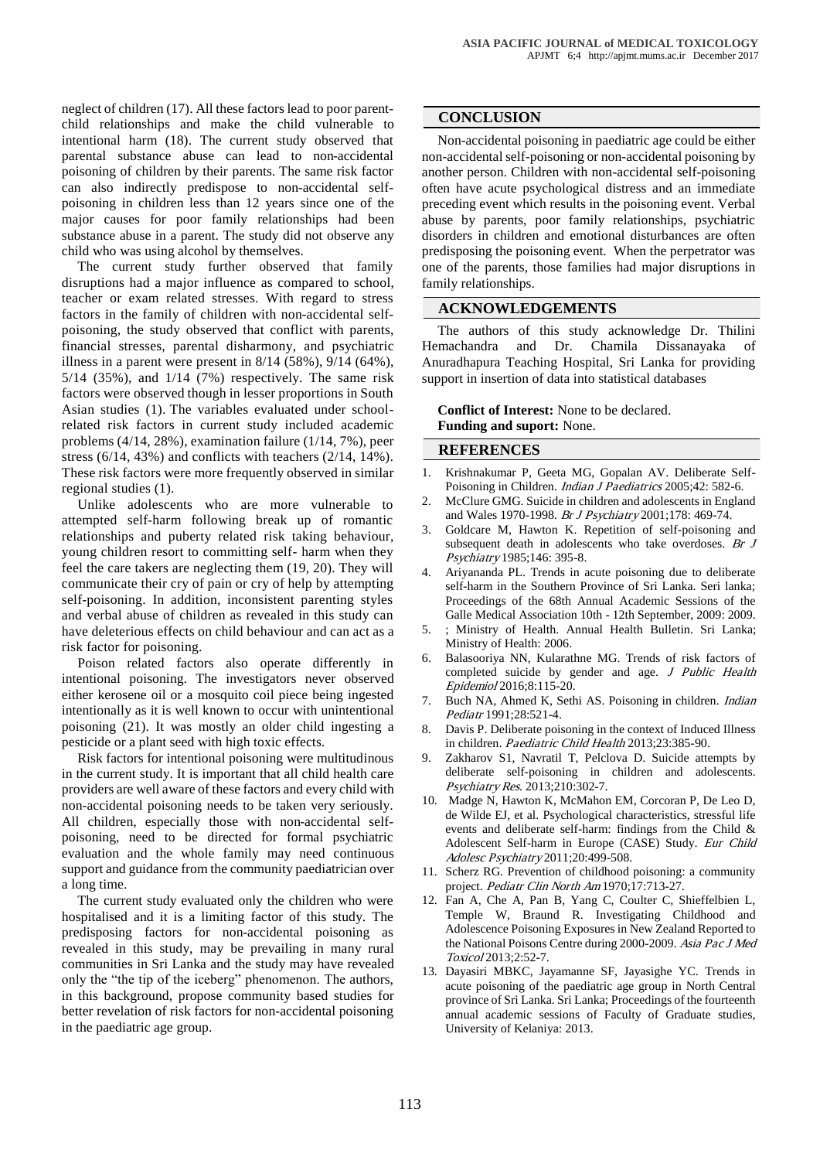neglect of children (17). All these factors lead to poor parentchild relationships and make the child vulnerable to intentional harm (18). The current study observed that parental substance abuse can lead to non-accidental poisoning of children by their parents. The same risk factor can also indirectly predispose to non-accidental selfpoisoning in children less than 12 years since one of the major causes for poor family relationships had been substance abuse in a parent. The study did not observe any child who was using alcohol by themselves.

The current study further observed that family disruptions had a major influence as compared to school, teacher or exam related stresses. With regard to stress factors in the family of children with non-accidental selfpoisoning, the study observed that conflict with parents, financial stresses, parental disharmony, and psychiatric illness in a parent were present in 8/14 (58%), 9/14 (64%), 5/14 (35%), and 1/14 (7%) respectively. The same risk factors were observed though in lesser proportions in South Asian studies (1). The variables evaluated under schoolrelated risk factors in current study included academic problems (4/14, 28%), examination failure (1/14, 7%), peer stress (6/14, 43%) and conflicts with teachers (2/14, 14%). These risk factors were more frequently observed in similar regional studies (1).

Unlike adolescents who are more vulnerable to attempted self-harm following break up of romantic relationships and puberty related risk taking behaviour, young children resort to committing self- harm when they feel the care takers are neglecting them (19, 20). They will communicate their cry of pain or cry of help by attempting self-poisoning. In addition, inconsistent parenting styles and verbal abuse of children as revealed in this study can have deleterious effects on child behaviour and can act as a risk factor for poisoning.

Poison related factors also operate differently in intentional poisoning. The investigators never observed either kerosene oil or a mosquito coil piece being ingested intentionally as it is well known to occur with unintentional poisoning (21). It was mostly an older child ingesting a pesticide or a plant seed with high toxic effects.

Risk factors for intentional poisoning were multitudinous in the current study. It is important that all child health care providers are well aware of these factors and every child with non-accidental poisoning needs to be taken very seriously. All children, especially those with non-accidental selfpoisoning, need to be directed for formal psychiatric evaluation and the whole family may need continuous support and guidance from the community paediatrician over a long time.

The current study evaluated only the children who were hospitalised and it is a limiting factor of this study. The predisposing factors for non-accidental poisoning as revealed in this study, may be prevailing in many rural communities in Sri Lanka and the study may have revealed only the "the tip of the iceberg" phenomenon. The authors, in this background, propose community based studies for better revelation of risk factors for non-accidental poisoning in the paediatric age group.

## **CONCLUSION**

Non-accidental poisoning in paediatric age could be either non-accidental self-poisoning or non-accidental poisoning by another person. Children with non-accidental self-poisoning often have acute psychological distress and an immediate preceding event which results in the poisoning event. Verbal abuse by parents, poor family relationships, psychiatric disorders in children and emotional disturbances are often predisposing the poisoning event. When the perpetrator was one of the parents, those families had major disruptions in family relationships.

## **ACKNOWLEDGEMENTS**

The authors of this study acknowledge Dr. Thilini Hemachandra and Dr. Chamila Dissanayaka of Anuradhapura Teaching Hospital, Sri Lanka for providing support in insertion of data into statistical databases

**Conflict of Interest:** None to be declared. **Funding and suport:** None.

## **REFERENCES**

- 1. Krishnakumar P, Geeta MG, Gopalan AV. Deliberate Self-Poisoning in Children. Indian J Paediatrics 2005;42: 582-6.
- McClure GMG. Suicide in children and adolescents in England and Wales 1970-1998. Br J Psychiatry 2001;178: 469-74.
- 3. Goldcare M, Hawton K. Repetition of self-poisoning and subsequent death in adolescents who take overdoses. Br J Psychiatry 1985;146: 395-8.
- 4. Ariyananda PL. Trends in acute poisoning due to deliberate self-harm in the Southern Province of Sri Lanka. Seri lanka; Proceedings of the 68th Annual Academic Sessions of the Galle Medical Association 10th - 12th September, 2009: 2009.
- 5. ; Ministry of Health. Annual Health Bulletin. Sri Lanka; Ministry of Health: 2006.
- 6. Balasooriya NN, Kularathne MG. Trends of risk factors of completed suicide by gender and age. J Public Health Epidemiol 2016;8:115-20.
- 7. Buch NA, Ahmed K, Sethi AS. Poisoning in children. Indian Pediatr 1991;28:521-4.
- 8. Davis P. Deliberate poisoning in the context of Induced Illness in children. Paediatric Child Health 2013;23:385-90.
- 9. [Zakharov S1](http://www.ncbi.nlm.nih.gov/pubmed/?term=Zakharov%20S%5BAuthor%5D&cauthor=true&cauthor_uid=23810383), [Navratil T,](http://www.ncbi.nlm.nih.gov/pubmed/?term=Navratil%20T%5BAuthor%5D&cauthor=true&cauthor_uid=23810383) [Pelclova D.](http://www.ncbi.nlm.nih.gov/pubmed/?term=Pelclova%20D%5BAuthor%5D&cauthor=true&cauthor_uid=23810383) Suicide attempts by deliberate self-poisoning in children and adolescents. [Psychiatry Res](http://www.ncbi.nlm.nih.gov/pubmed/23810383). 2013;210:302-7.
- 10. Madge N, Hawton K, McMahon EM, Corcoran P, De Leo D, de Wilde EJ, et al. [Psychological characteristics, stressful life](http://www.ncbi.nlm.nih.gov/pubmed/21847620)  [events and deliberate self-harm: findings from the Child &](http://www.ncbi.nlm.nih.gov/pubmed/21847620)  [Adolescent Self-harm in Europe \(CASE\) Study.](http://www.ncbi.nlm.nih.gov/pubmed/21847620) Eur Child Adolesc Psychiatry 2011;20:499-508.
- 11. Scherz RG. Prevention of childhood poisoning: a community project. Pediatr Clin North Am 1970;17:713-27.
- 12. Fan A, Che A, Pan B, Yang C, Coulter C, Shieffelbien L, Temple W, Braund R. Investigating Childhood and Adolescence Poisoning Exposures in New Zealand Reported to the National Poisons Centre during 2000-2009. Asia Pac J Med Toxicol 2013;2:52-7.
- 13. Dayasiri MBKC, Jayamanne SF, Jayasighe YC. Trends in acute poisoning of the paediatric age group in North Central province of Sri Lanka. Sri Lanka; Proceedings of the fourteenth annual academic sessions of Faculty of Graduate studies, University of Kelaniya: 2013.